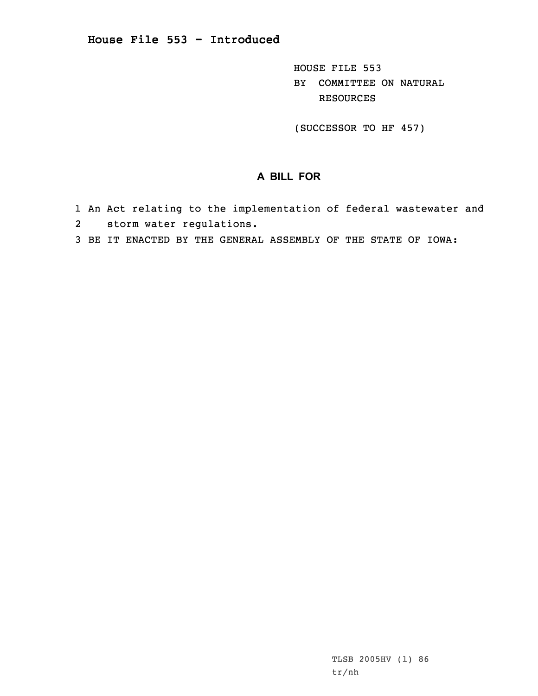HOUSE FILE 553 BY COMMITTEE ON NATURAL RESOURCES

(SUCCESSOR TO HF 457)

## **A BILL FOR**

- 1 An Act relating to the implementation of federal wastewater and
- 2 storm water regulations.
- 3 BE IT ENACTED BY THE GENERAL ASSEMBLY OF THE STATE OF IOWA: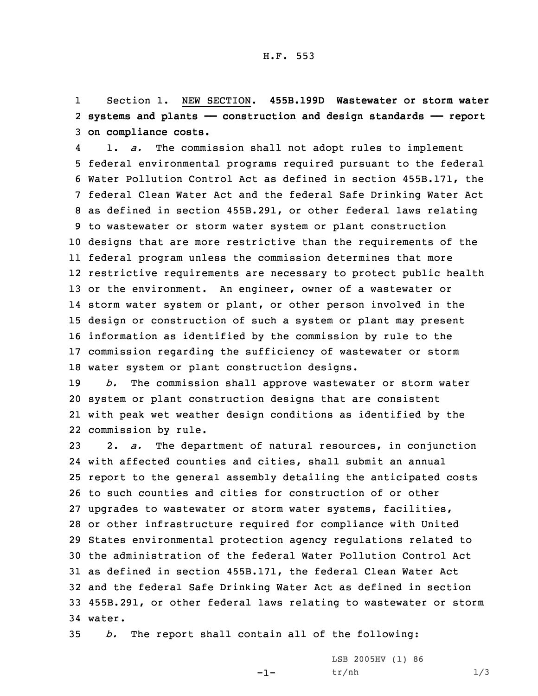1 Section 1. NEW SECTION. **455B.199D Wastewater or storm water** 2 **systems and plants —— construction and design standards —— report** 3 **on compliance costs.**

4 1. *a.* The commission shall not adopt rules to implement federal environmental programs required pursuant to the federal Water Pollution Control Act as defined in section 455B.171, the federal Clean Water Act and the federal Safe Drinking Water Act as defined in section 455B.291, or other federal laws relating to wastewater or storm water system or plant construction designs that are more restrictive than the requirements of the federal program unless the commission determines that more restrictive requirements are necessary to protect public health or the environment. An engineer, owner of <sup>a</sup> wastewater or storm water system or plant, or other person involved in the design or construction of such <sup>a</sup> system or plant may present information as identified by the commission by rule to the commission regarding the sufficiency of wastewater or storm water system or plant construction designs.

 *b.* The commission shall approve wastewater or storm water system or plant construction designs that are consistent with peak wet weather design conditions as identified by the commission by rule.

 2. *a.* The department of natural resources, in conjunction with affected counties and cities, shall submit an annual report to the general assembly detailing the anticipated costs to such counties and cities for construction of or other upgrades to wastewater or storm water systems, facilities, or other infrastructure required for compliance with United States environmental protection agency regulations related to the administration of the federal Water Pollution Control Act as defined in section 455B.171, the federal Clean Water Act and the federal Safe Drinking Water Act as defined in section 455B.291, or other federal laws relating to wastewater or storm 34 water.

35 *b.* The report shall contain all of the following:

-1-

LSB 2005HV (1) 86  $tr/nh$  1/3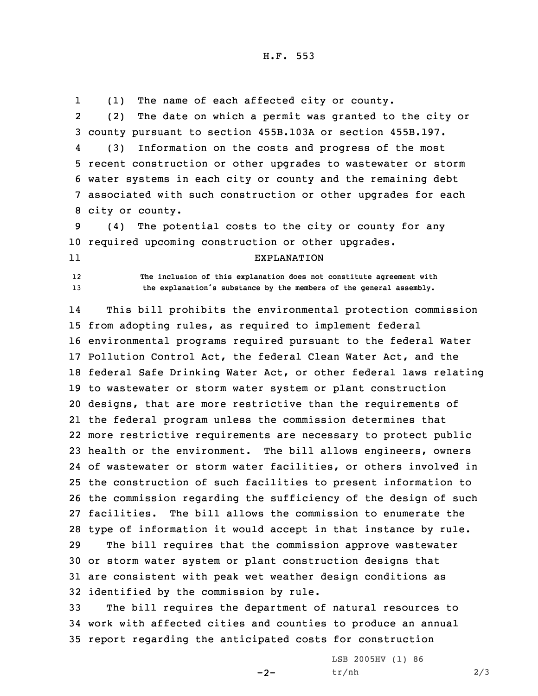1(1) The name of each affected city or county.

2 (2) The date on which <sup>a</sup> permit was granted to the city or 3 county pursuant to section 455B.103A or section 455B.197.

4 (3) Information on the costs and progress of the most recent construction or other upgrades to wastewater or storm water systems in each city or county and the remaining debt associated with such construction or other upgrades for each city or county.

9 (4) The potential costs to the city or county for any 10 required upcoming construction or other upgrades.

11

EXPLANATION

12 **The inclusion of this explanation does not constitute agreement with** <sup>13</sup> **the explanation's substance by the members of the general assembly.**

14 This bill prohibits the environmental protection commission from adopting rules, as required to implement federal environmental programs required pursuant to the federal Water Pollution Control Act, the federal Clean Water Act, and the federal Safe Drinking Water Act, or other federal laws relating to wastewater or storm water system or plant construction designs, that are more restrictive than the requirements of the federal program unless the commission determines that more restrictive requirements are necessary to protect public health or the environment. The bill allows engineers, owners of wastewater or storm water facilities, or others involved in the construction of such facilities to present information to the commission regarding the sufficiency of the design of such facilities. The bill allows the commission to enumerate the type of information it would accept in that instance by rule. The bill requires that the commission approve wastewater or storm water system or plant construction designs that are consistent with peak wet weather design conditions as identified by the commission by rule.

33 The bill requires the department of natural resources to 34 work with affected cities and counties to produce an annual 35 report regarding the anticipated costs for construction

 $-2-$ 

LSB 2005HV (1) 86  $tr/nh$  2/3